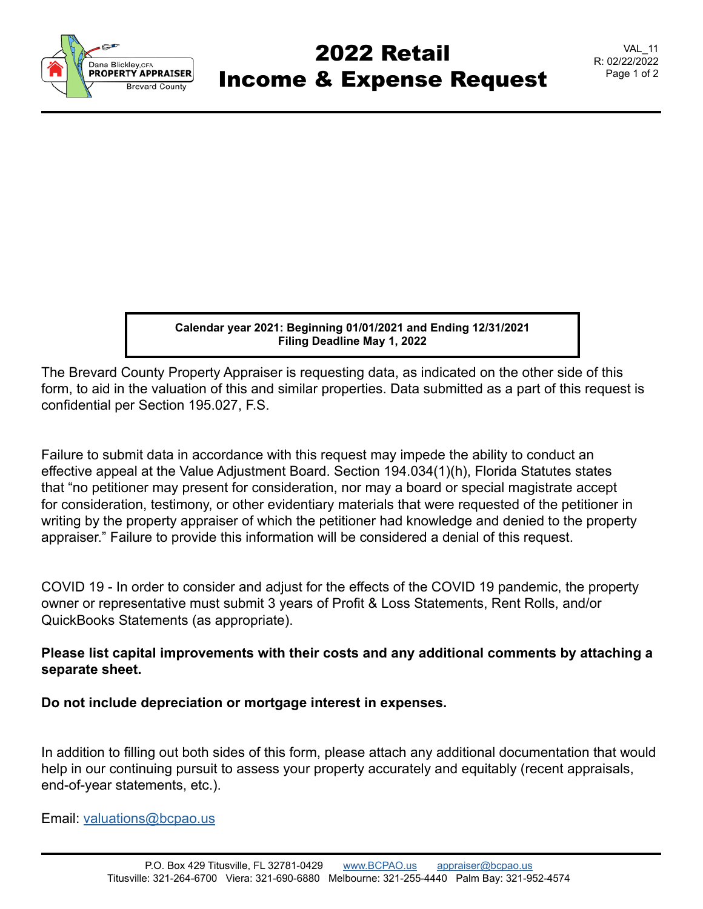

## 2022 Retail Income & Expense Request

**Calendar year 2021: Beginning 01/01/2021 and Ending 12/31/2021 Filing Deadline May 1, 2022**

The Brevard County Property Appraiser is requesting data, as indicated on the other side of this form, to aid in the valuation of this and similar properties. Data submitted as a part of this request is confidential per Section 195.027, F.S.

Failure to submit data in accordance with this request may impede the ability to conduct an effective appeal at the Value Adjustment Board. Section 194.034(1)(h), Florida Statutes states that "no petitioner may present for consideration, nor may a board or special magistrate accept for consideration, testimony, or other evidentiary materials that were requested of the petitioner in writing by the property appraiser of which the petitioner had knowledge and denied to the property appraiser." Failure to provide this information will be considered a denial of this request.

COVID 19 - In order to consider and adjust for the effects of the COVID 19 pandemic, the property owner or representative must submit 3 years of Profit & Loss Statements, Rent Rolls, and/or QuickBooks Statements (as appropriate).

## **Please list capital improvements with their costs and any additional comments by attaching a separate sheet.**

**Do not include depreciation or mortgage interest in expenses.**

In addition to filling out both sides of this form, please attach any additional documentation that would help in our continuing pursuit to assess your property accurately and equitably (recent appraisals, end-of-year statements, etc.).

Email: valuations@bcpao.us